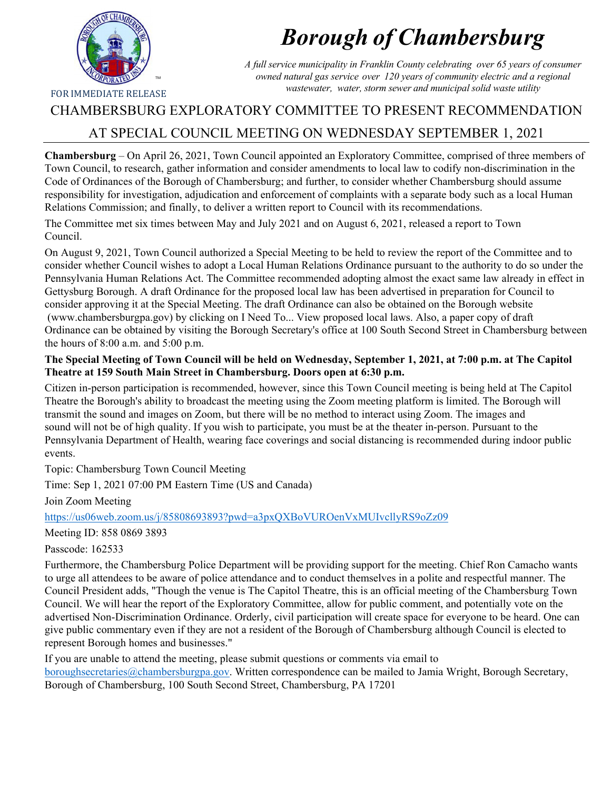

# *Borough of Chambersburg*

*A full service municipality in Franklin County celebrating over 65 years of consumer owned natural gas service over 120 years of community electric and a regional wastewater, water, storm sewer and municipal solid waste utility*

## CHAMBERSBURG EXPLORATORY COMMITTEE TO PRESENT RECOMMENDATION

# AT SPECIAL COUNCIL MEETING ON WEDNESDAY SEPTEMBER 1, 2021

**Chambersburg** – On April 26, 2021, Town Council appointed an Exploratory Committee, comprised of three members of Town Council, to research, gather information and consider amendments to local law to codify non-discrimination in the Code of Ordinances of the Borough of Chambersburg; and further, to consider whether Chambersburg should assume responsibility for investigation, adjudication and enforcement of complaints with a separate body such as a local Human Relations Commission; and finally, to deliver a written report to Council with its recommendations.

The Committee met six times between May and July 2021 and on August 6, 2021, released a report to Town Council.

On August 9, 2021, Town Council authorized a Special Meeting to be held to review the report of the Committee and to consider whether Council wishes to adopt a Local Human Relations Ordinance pursuant to the authority to do so under the Pennsylvania Human Relations Act. The Committee recommended adopting almost the exact same law already in effect in Gettysburg Borough. A draft Ordinance for the proposed local law has been advertised in preparation for Council to consider approving it at the Special Meeting. The draft Ordinance can also be obtained on the Borough website (www.chambersburgpa.gov) by clicking on I Need To... View proposed local laws. Also, a paper copy of draft Ordinance can be obtained by visiting the Borough Secretary's office at 100 South Second Street in Chambersburg between the hours of 8:00 a.m. and 5:00 p.m.

## **The Special Meeting of Town Council will be held on Wednesday, September 1, 2021, at 7:00 p.m. at The Capitol Theatre at 159 South Main Street in Chambersburg. Doors open at 6:30 p.m.**

Citizen in-person participation is recommended, however, since this Town Council meeting is being held at The Capitol Theatre the Borough's ability to broadcast the meeting using the Zoom meeting platform is limited. The Borough will transmit the sound and images on Zoom, but there will be no method to interact using Zoom. The images and sound will not be of high quality. If you wish to participate, you must be at the theater in-person. Pursuant to the Pennsylvania Department of Health, wearing face coverings and social distancing is recommended during indoor public events.

Topic: Chambersburg Town Council Meeting

Time: Sep 1, 2021 07:00 PM Eastern Time (US and Canada)

Join Zoom Meeting

https://us06web.zoom.us/j/85808693893?pwd=a3pxQXBoVUROenVxMUIvcllyRS9oZz09

Meeting ID: 858 0869 3893

Passcode: 162533

Furthermore, the Chambersburg Police Department will be providing support for the meeting. Chief Ron Camacho wants to urge all attendees to be aware of police attendance and to conduct themselves in a polite and respectful manner. The Council President adds, "Though the venue is The Capitol Theatre, this is an official meeting of the Chambersburg Town Council. We will hear the report of the Exploratory Committee, allow for public comment, and potentially vote on the advertised Non-Discrimination Ordinance. Orderly, civil participation will create space for everyone to be heard. One can give public commentary even if they are not a resident of the Borough of Chambersburg although Council is elected to represent Borough homes and businesses."

If you are unable to attend the meeting, please submit questions or comments via email to boroughsecretaries@chambersburgpa.gov. Written correspondence can be mailed to Jamia Wright, Borough Secretary, Borough of Chambersburg, 100 South Second Street, Chambersburg, PA 17201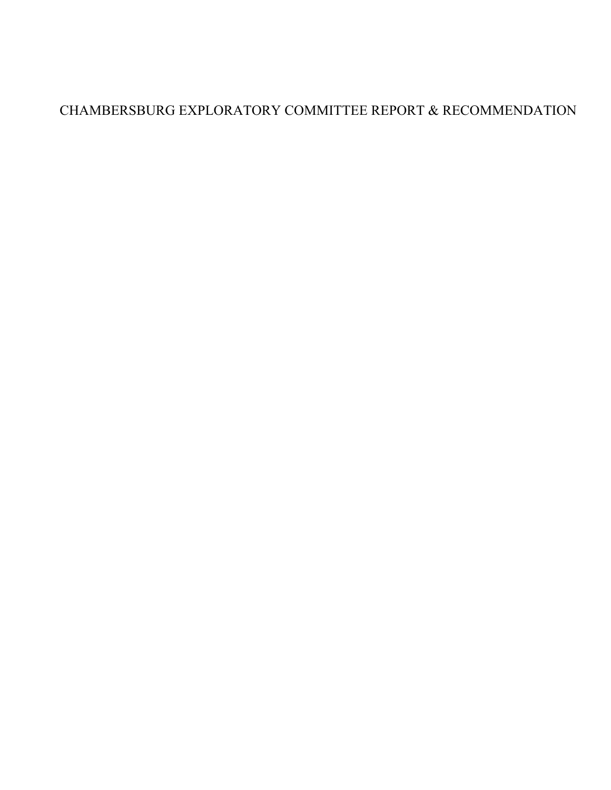# CHAMBERSBURG EXPLORATORY COMMITTEE REPORT & RECOMMENDATION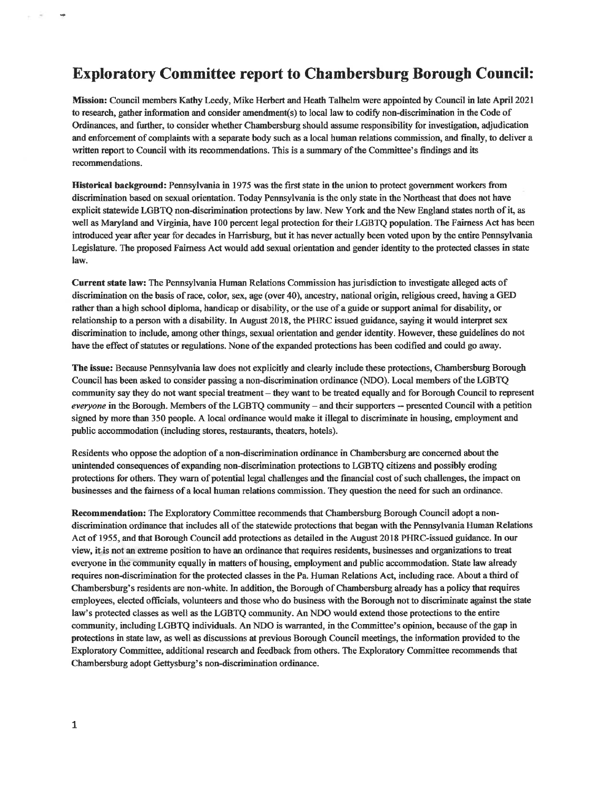## **Exploratory Committee report to Chambersburg Borough Council:**

Mission: Council members Kathy Leedy, Mike Herbert and Heath Talhelm were appointed by Council in late April 2021 to research, gather information and consider amendment(s) to local law to codify non-discrimination in the Code of Ordinances, and further, to consider whether Chambersburg should assume responsibility for investigation, adjudication and enforcement of complaints with a separate body such as a local human relations commission, and finally, to deliver a written report to Council with its recommendations. This is a summary of the Committee's findings and its recommendations.

Historical background: Pennsylvania in 1975 was the first state in the union to protect government workers from discrimination based on sexual orientation. Today Pennsylvania is the only state in the Northeast that does not have explicit statewide LGBTQ non-discrimination protections by law. New York and the New England states north of it, as well as Maryland and Virginia, have 100 percent legal protection for their LGBTQ population. The Fairness Act has been introduced year after year for decades in Harrisburg, but it has never actually been voted upon by the entire Pennsylvania Legislature. The proposed Fairness Act would add sexual orientation and gender identity to the protected classes in state law.

Current state law: The Pennsylvania Human Relations Commission has jurisdiction to investigate alleged acts of discrimination on the basis of race, color, sex, age (over 40), ancestry, national origin, religious creed, having a GED rather than a high school diploma, handicap or disability, or the use of a guide or support animal for disability, or relationship to a person with a disability. In August 2018, the PHRC issued guidance, saying it would interpret sex discrimination to include, among other things, sexual orientation and gender identity. However, these guidelines do not have the effect of statutes or regulations. None of the expanded protections has been codified and could go away.

The issue: Because Pennsylvania law does not explicitly and clearly include these protections, Chambersburg Borough Council has been asked to consider passing a non-discrimination ordinance (NDO). Local members of the LGBTQ community say they do not want special treatment – they want to be treated equally and for Borough Council to represent everyone in the Borough. Members of the LGBTQ community – and their supporters – presented Council with a petition signed by more than 350 people. A local ordinance would make it illegal to discriminate in housing, employment and public accommodation (including stores, restaurants, theaters, hotels).

Residents who oppose the adoption of a non-discrimination ordinance in Chambersburg are concerned about the unintended consequences of expanding non-discrimination protections to LGBTQ citizens and possibly eroding protections for others. They warn of potential legal challenges and the financial cost of such challenges, the impact on businesses and the fairness of a local human relations commission. They question the need for such an ordinance.

**Recommendation:** The Exploratory Committee recommends that Chambersburg Borough Council adopt a nondiscrimination ordinance that includes all of the statewide protections that began with the Pennsylvania Human Relations Act of 1955, and that Borough Council add protections as detailed in the August 2018 PHRC-issued guidance. In our view, it is not an extreme position to have an ordinance that requires residents, businesses and organizations to treat everyone in the community equally in matters of housing, employment and public accommodation. State law already requires non-discrimination for the protected classes in the Pa. Human Relations Act, including race. About a third of Chambersburg's residents are non-white. In addition, the Borough of Chambersburg already has a policy that requires employees, elected officials, volunteers and those who do business with the Borough not to discriminate against the state law's protected classes as well as the LGBTQ community. An NDO would extend those protections to the entire community, including LGBTQ individuals. An NDO is warranted, in the Committee's opinion, because of the gap in protections in state law, as well as discussions at previous Borough Council meetings, the information provided to the Exploratory Committee, additional research and feedback from others. The Exploratory Committee recommends that Chambersburg adopt Gettysburg's non-discrimination ordinance.

 $\sim$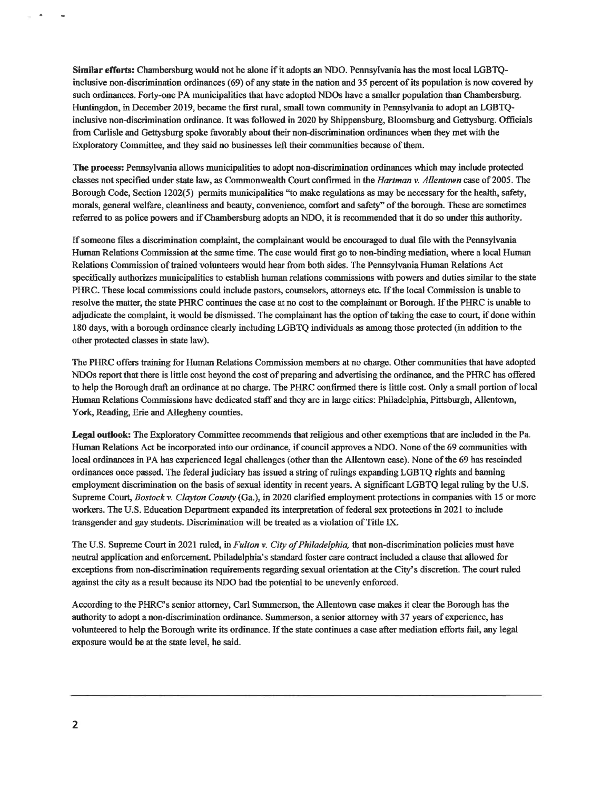Similar efforts: Chambersburg would not be alone if it adopts an NDO. Pennsylvania has the most local LGBTQinclusive non-discrimination ordinances (69) of any state in the nation and 35 percent of its population is now covered by such ordinances. Forty-one PA municipalities that have adopted NDOs have a smaller population than Chambersburg. Huntingdon, in December 2019, became the first rural, small town community in Pennsylvania to adopt an LGBTQinclusive non-discrimination ordinance. It was followed in 2020 by Shippensburg, Bloomsburg and Gettysburg. Officials from Carlisle and Gettysburg spoke favorably about their non-discrimination ordinances when they met with the Exploratory Committee, and they said no businesses left their communities because of them.

The process: Pennsylvania allows municipalities to adopt non-discrimination ordinances which may include protected classes not specified under state law, as Commonwealth Court confirmed in the Hartman v. Allentown case of 2005. The Borough Code, Section 1202(5) permits municipalities "to make regulations as may be necessary for the health, safety, morals, general welfare, cleanliness and beauty, convenience, comfort and safety" of the borough. These are sometimes referred to as police powers and if Chambersburg adopts an NDO, it is recommended that it do so under this authority.

If someone files a discrimination complaint, the complainant would be encouraged to dual file with the Pennsylvania Human Relations Commission at the same time. The case would first go to non-binding mediation, where a local Human Relations Commission of trained volunteers would hear from both sides. The Pennsylvania Human Relations Act specifically authorizes municipalities to establish human relations commissions with powers and duties similar to the state PHRC. These local commissions could include pastors, counselors, attorneys etc. If the local Commission is unable to resolve the matter, the state PHRC continues the case at no cost to the complainant or Borough. If the PHRC is unable to adjudicate the complaint, it would be dismissed. The complainant has the option of taking the case to court, if done within 180 days, with a borough ordinance clearly including LGBTQ individuals as among those protected (in addition to the other protected classes in state law).

The PHRC offers training for Human Relations Commission members at no charge. Other communities that have adopted NDOs report that there is little cost beyond the cost of preparing and advertising the ordinance, and the PHRC has offered to help the Borough draft an ordinance at no charge. The PHRC confirmed there is little cost. Only a small portion of local Human Relations Commissions have dedicated staff and they are in large cities: Philadelphia, Pittsburgh, Allentown, York, Reading, Erie and Allegheny counties.

Legal outlook: The Exploratory Committee recommends that religious and other exemptions that are included in the Pa. Human Relations Act be incorporated into our ordinance, if council approves a NDO. None of the 69 communities with local ordinances in PA has experienced legal challenges (other than the Allentown case). None of the 69 has rescinded ordinances once passed. The federal judiciary has issued a string of rulings expanding LGBTQ rights and banning employment discrimination on the basis of sexual identity in recent years. A significant LGBTQ legal ruling by the U.S. Supreme Court, *Bostock v. Clayton County* (Ga.), in 2020 clarified employment protections in companies with 15 or more workers. The U.S. Education Department expanded its interpretation of federal sex protections in 2021 to include transgender and gay students. Discrimination will be treated as a violation of Title IX.

The U.S. Supreme Court in 2021 ruled, in Fulton v. City of Philadelphia, that non-discrimination policies must have neutral application and enforcement. Philadelphia's standard foster care contract included a clause that allowed for exceptions from non-discrimination requirements regarding sexual orientation at the City's discretion. The court ruled against the city as a result because its NDO had the potential to be unevenly enforced.

According to the PHRC's senior attorney, Carl Summerson, the Allentown case makes it clear the Borough has the authority to adopt a non-discrimination ordinance. Summerson, a senior attorney with 37 years of experience, has volunteered to help the Borough write its ordinance. If the state continues a case after mediation efforts fail, any legal exposure would be at the state level, he said.

 $\alpha$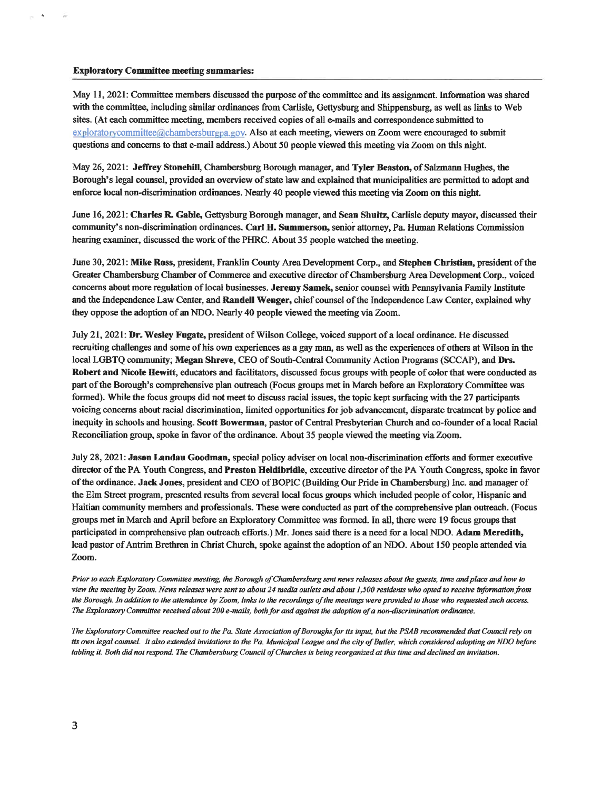#### **Exploratory Committee meeting summaries:**

 $\hat{\mathbf{a}}$ 

May 11, 2021: Committee members discussed the purpose of the committee and its assignment. Information was shared with the committee, including similar ordinances from Carlisle, Gettysburg and Shippensburg, as well as links to Web sites. (At each committee meeting, members received copies of all e-mails and correspondence submitted to exploratorycommittee@chambersburgpa.gov. Also at each meeting, viewers on Zoom were encouraged to submit questions and concerns to that e-mail address.) About 50 people viewed this meeting via Zoom on this night.

May 26, 2021: Jeffrey Stonehill, Chambersburg Borough manager, and Tyler Beaston, of Salzmann Hughes, the Borough's legal counsel, provided an overview of state law and explained that municipalities are permitted to adopt and enforce local non-discrimination ordinances. Nearly 40 people viewed this meeting via Zoom on this night.

June 16, 2021: Charles R. Gable, Gettysburg Borough manager, and Sean Shultz, Carlisle deputy mayor, discussed their community's non-discrimination ordinances. Carl H. Summerson, senior attorney, Pa. Human Relations Commission hearing examiner, discussed the work of the PHRC. About 35 people watched the meeting.

June 30, 2021: Mike Ross, president, Franklin County Area Development Corp., and Stephen Christian, president of the Greater Chambersburg Chamber of Commerce and executive director of Chambersburg Area Development Corp., voiced concerns about more regulation of local businesses. Jeremy Samek, senior counsel with Pennsylvania Family Institute and the Independence Law Center, and Randell Wenger, chief counsel of the Independence Law Center, explained why they oppose the adoption of an NDO. Nearly 40 people viewed the meeting via Zoom.

July 21, 2021: Dr. Wesley Fugate, president of Wilson College, voiced support of a local ordinance. He discussed recruiting challenges and some of his own experiences as a gay man, as well as the experiences of others at Wilson in the local LGBTQ community; Megan Shreve, CEO of South-Central Community Action Programs (SCCAP), and Drs. Robert and Nicole Hewitt, educators and facilitators, discussed focus groups with people of color that were conducted as part of the Borough's comprehensive plan outreach (Focus groups met in March before an Exploratory Committee was formed). While the focus groups did not meet to discuss racial issues, the topic kept surfacing with the 27 participants voicing concerns about racial discrimination, limited opportunities for job advancement, disparate treatment by police and inequity in schools and housing. Scott Bowerman, pastor of Central Presbyterian Church and co-founder of a local Racial Reconciliation group, spoke in favor of the ordinance. About 35 people viewed the meeting via Zoom.

July 28, 2021: Jason Landau Goodman, special policy adviser on local non-discrimination efforts and former executive director of the PA Youth Congress, and Preston Heldibridle, executive director of the PA Youth Congress, spoke in favor of the ordinance. Jack Jones, president and CEO of BOPIC (Building Our Pride in Chambersburg) Inc. and manager of the Elm Street program, presented results from several local focus groups which included people of color, Hispanic and Haitian community members and professionals. These were conducted as part of the comprehensive plan outreach. (Focus groups met in March and April before an Exploratory Committee was formed. In all, there were 19 focus groups that participated in comprehensive plan outreach efforts.) Mr. Jones said there is a need for a local NDO. Adam Meredith, lead pastor of Antrim Brethren in Christ Church, spoke against the adoption of an NDO. About 150 people attended via Zoom.

Prior to each Exploratory Committee meeting, the Borough of Chambersburg sent news releases about the guests, time and place and how to view the meeting by Zoom. News releases were sent to about 24 media outlets and about 1,500 residents who opted to receive information from the Borough. In addition to the attendance by Zoom, links to the recordings of the meetings were provided to those who requested such access. The Exploratory Committee received about 200 e-mails, both for and against the adoption of a non-discrimination ordinance.

The Exploratory Committee reached out to the Pa. State Association of Boroughs for its input, but the PSAB recommended that Council rely on its own legal counsel. It also extended invitations to the Pa. Municipal League and the city of Butler, which considered adopting an NDO before tabling it. Both did not respond. The Chambersburg Council of Churches is being reorganized at this time and declined an invitation.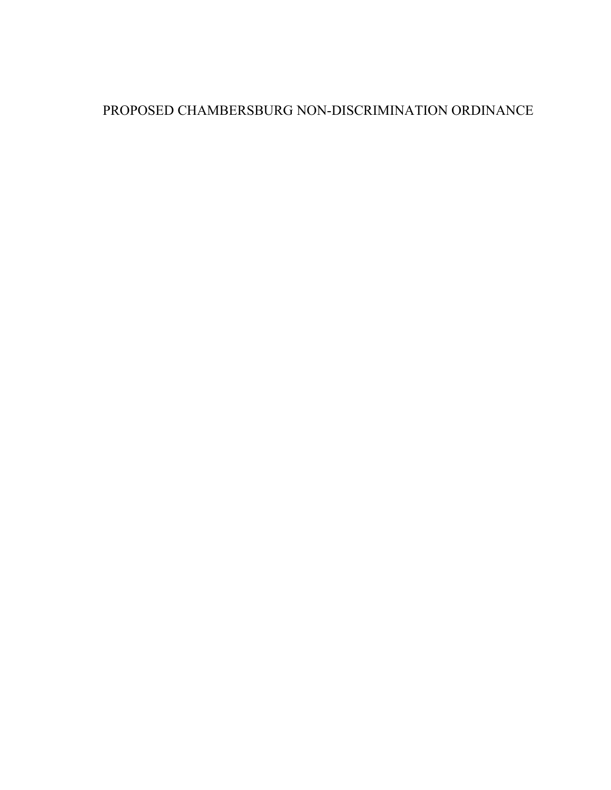# PROPOSED CHAMBERSBURG NON-DISCRIMINATION ORDINANCE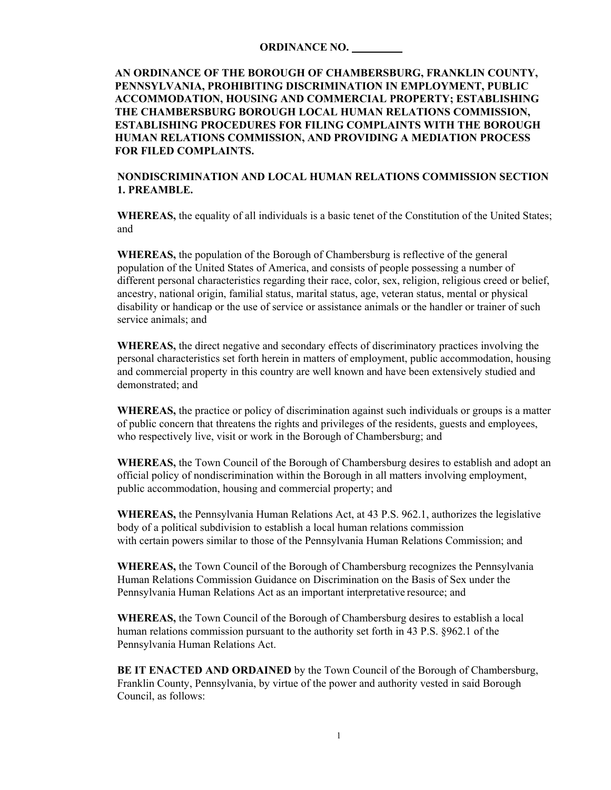#### **ORDINANCE NO.**

**AN ORDINANCE OF THE BOROUGH OF CHAMBERSBURG, FRANKLIN COUNTY, PENNSYLVANIA, PROHIBITING DISCRIMINATION IN EMPLOYMENT, PUBLIC ACCOMMODATION, HOUSING AND COMMERCIAL PROPERTY; ESTABLISHING THE CHAMBERSBURG BOROUGH LOCAL HUMAN RELATIONS COMMISSION, ESTABLISHING PROCEDURES FOR FILING COMPLAINTS WITH THE BOROUGH HUMAN RELATIONS COMMISSION, AND PROVIDING A MEDIATION PROCESS FOR FILED COMPLAINTS.** 

**NONDISCRIMINATION AND LOCAL HUMAN RELATIONS COMMISSION SECTION 1. PREAMBLE.**

**WHEREAS,** the equality of all individuals is a basic tenet of the Constitution of the United States; and

**WHEREAS,** the population of the Borough of Chambersburg is reflective of the general population of the United States of America, and consists of people possessing a number of different personal characteristics regarding their race, color, sex, religion, religious creed or belief, ancestry, national origin, familial status, marital status, age, veteran status, mental or physical disability or handicap or the use of service or assistance animals or the handler or trainer of such service animals; and

**WHEREAS,** the direct negative and secondary effects of discriminatory practices involving the personal characteristics set forth herein in matters of employment, public accommodation, housing and commercial property in this country are well known and have been extensively studied and demonstrated; and

**WHEREAS,** the practice or policy of discrimination against such individuals or groups is a matter of public concern that threatens the rights and privileges of the residents, guests and employees, who respectively live, visit or work in the Borough of Chambersburg; and

**WHEREAS,** the Town Council of the Borough of Chambersburg desires to establish and adopt an official policy of nondiscrimination within the Borough in all matters involving employment, public accommodation, housing and commercial property; and

**WHEREAS,** the Pennsylvania Human Relations Act, at 43 P.S. 962.1, authorizes the legislative body of a political subdivision to establish a local human relations commission with certain powers similar to those of the Pennsylvania Human Relations Commission; and

**WHEREAS,** the Town Council of the Borough of Chambersburg recognizes the Pennsylvania Human Relations Commission Guidance on Discrimination on the Basis of Sex under the Pennsylvania Human Relations Act as an important interpretative resource; and

**WHEREAS,** the Town Council of the Borough of Chambersburg desires to establish a local human relations commission pursuant to the authority set forth in 43 P.S. §962.1 of the Pennsylvania Human Relations Act.

**BE IT ENACTED AND ORDAINED** by the Town Council of the Borough of Chambersburg, Franklin County, Pennsylvania, by virtue of the power and authority vested in said Borough Council, as follows: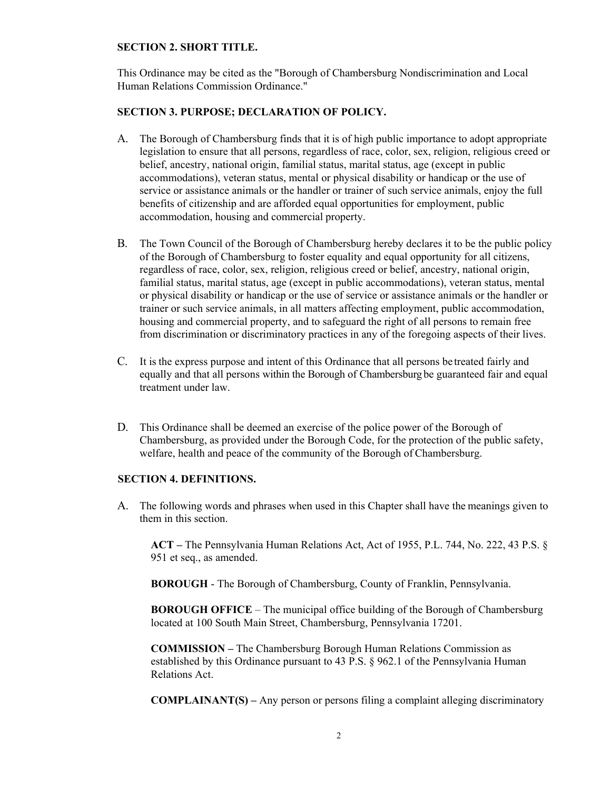#### **SECTION 2. SHORT TITLE.**

This Ordinance may be cited as the "Borough of Chambersburg Nondiscrimination and Local Human Relations Commission Ordinance."

#### **SECTION 3. PURPOSE; DECLARATION OF POLICY.**

- A. The Borough of Chambersburg finds that it is of high public importance to adopt appropriate legislation to ensure that all persons, regardless of race, color, sex, religion, religious creed or belief, ancestry, national origin, familial status, marital status, age (except in public accommodations), veteran status, mental or physical disability or handicap or the use of service or assistance animals or the handler or trainer of such service animals, enjoy the full benefits of citizenship and are afforded equal opportunities for employment, public accommodation, housing and commercial property.
- B. The Town Council of the Borough of Chambersburg hereby declares it to be the public policy of the Borough of Chambersburg to foster equality and equal opportunity for all citizens, regardless of race, color, sex, religion, religious creed or belief, ancestry, national origin, familial status, marital status, age (except in public accommodations), veteran status, mental or physical disability or handicap or the use of service or assistance animals or the handler or trainer or such service animals, in all matters affecting employment, public accommodation, housing and commercial property, and to safeguard the right of all persons to remain free from discrimination or discriminatory practices in any of the foregoing aspects of their lives.
- C. It is the express purpose and intent of this Ordinance that all persons be treated fairly and equally and that all persons within the Borough of Chambersburg be guaranteed fair and equal treatment under law.
- D. This Ordinance shall be deemed an exercise of the police power of the Borough of Chambersburg, as provided under the Borough Code, for the protection of the public safety, welfare, health and peace of the community of the Borough of Chambersburg.

#### **SECTION 4. DEFINITIONS.**

A. The following words and phrases when used in this Chapter shall have the meanings given to them in this section.

**ACT –** The Pennsylvania Human Relations Act, Act of 1955, P.L. 744, No. 222, 43 P.S. § 951 et seq., as amended.

**BOROUGH** - The Borough of Chambersburg, County of Franklin, Pennsylvania.

**BOROUGH OFFICE** – The municipal office building of the Borough of Chambersburg located at 100 South Main Street, Chambersburg, Pennsylvania 17201.

**COMMISSION –** The Chambersburg Borough Human Relations Commission as established by this Ordinance pursuant to 43 P.S. § 962.1 of the Pennsylvania Human Relations Act.

**COMPLAINANT(S) –** Any person or persons filing a complaint alleging discriminatory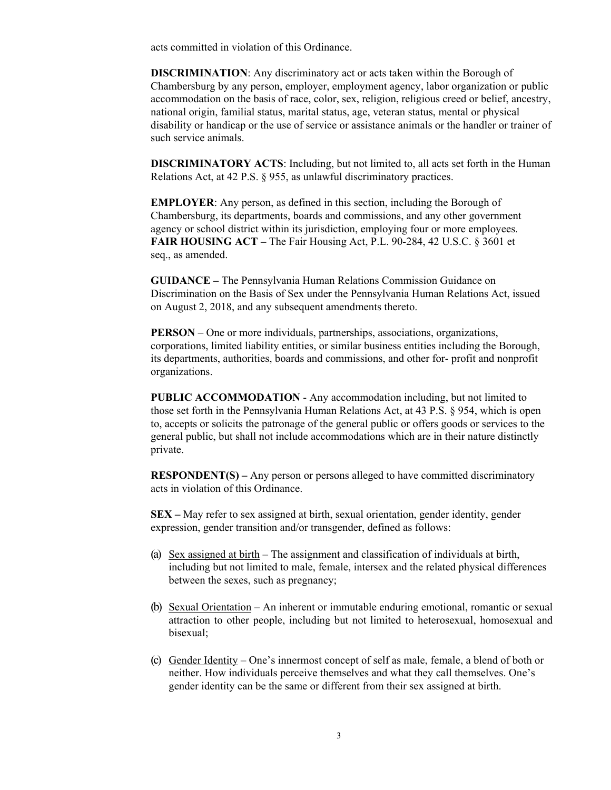acts committed in violation of this Ordinance.

**DISCRIMINATION**: Any discriminatory act or acts taken within the Borough of Chambersburg by any person, employer, employment agency, labor organization or public accommodation on the basis of race, color, sex, religion, religious creed or belief, ancestry, national origin, familial status, marital status, age, veteran status, mental or physical disability or handicap or the use of service or assistance animals or the handler or trainer of such service animals.

**DISCRIMINATORY ACTS**: Including, but not limited to, all acts set forth in the Human Relations Act, at 42 P.S. § 955, as unlawful discriminatory practices.

**EMPLOYER**: Any person, as defined in this section, including the Borough of Chambersburg, its departments, boards and commissions, and any other government agency or school district within its jurisdiction, employing four or more employees. **FAIR HOUSING ACT –** The Fair Housing Act, P.L. 90-284, 42 U.S.C. § 3601 et seq., as amended.

**GUIDANCE –** The Pennsylvania Human Relations Commission Guidance on Discrimination on the Basis of Sex under the Pennsylvania Human Relations Act, issued on August 2, 2018, and any subsequent amendments thereto.

**PERSON** – One or more individuals, partnerships, associations, organizations, corporations, limited liability entities, or similar business entities including the Borough, its departments, authorities, boards and commissions, and other for- profit and nonprofit organizations.

**PUBLIC ACCOMMODATION** - Any accommodation including, but not limited to those set forth in the Pennsylvania Human Relations Act, at 43 P.S. § 954, which is open to, accepts or solicits the patronage of the general public or offers goods or services to the general public, but shall not include accommodations which are in their nature distinctly private.

**RESPONDENT(S) –** Any person or persons alleged to have committed discriminatory acts in violation of this Ordinance.

**SEX –** May refer to sex assigned at birth, sexual orientation, gender identity, gender expression, gender transition and/or transgender, defined as follows:

- (a) Sex assigned at birth The assignment and classification of individuals at birth, including but not limited to male, female, intersex and the related physical differences between the sexes, such as pregnancy;
- (b) Sexual Orientation An inherent or immutable enduring emotional, romantic or sexual attraction to other people, including but not limited to heterosexual, homosexual and bisexual;
- (c) Gender Identity One's innermost concept of self as male, female, a blend of both or neither. How individuals perceive themselves and what they call themselves. One's gender identity can be the same or different from their sex assigned at birth.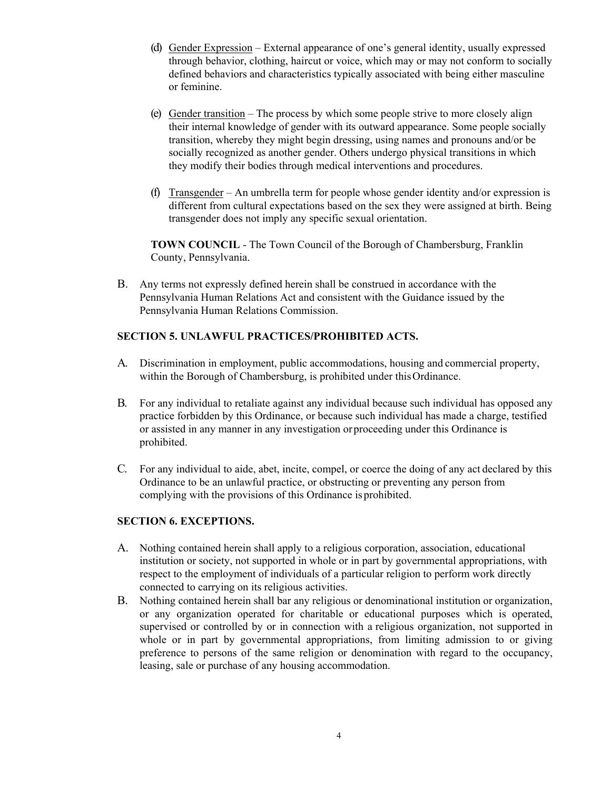- (d) Gender Expression External appearance of one's general identity, usually expressed through behavior, clothing, haircut or voice, which may or may not conform to socially defined behaviors and characteristics typically associated with being either masculine or feminine.
- (e) Gender transition The process by which some people strive to more closely align their internal knowledge of gender with its outward appearance. Some people socially transition, whereby they might begin dressing, using names and pronouns and/or be socially recognized as another gender. Others undergo physical transitions in which they modify their bodies through medical interventions and procedures.
- (f) Transgender An umbrella term for people whose gender identity and/or expression is different from cultural expectations based on the sex they were assigned at birth. Being transgender does not imply any specific sexual orientation.

**TOWN COUNCIL** - The Town Council of the Borough of Chambersburg, Franklin County, Pennsylvania.

B. Any terms not expressly defined herein shall be construed in accordance with the Pennsylvania Human Relations Act and consistent with the Guidance issued by the Pennsylvania Human Relations Commission.

#### **SECTION 5. UNLAWFUL PRACTICES/PROHIBITED ACTS.**

- A. Discrimination in employment, public accommodations, housing and commercial property, within the Borough of Chambersburg, is prohibited under this Ordinance.
- B. For any individual to retaliate against any individual because such individual has opposed any practice forbidden by this Ordinance, or because such individual has made a charge, testified or assisted in any manner in any investigation or proceeding under this Ordinance is prohibited.
- C. For any individual to aide, abet, incite, compel, or coerce the doing of any act declared by this Ordinance to be an unlawful practice, or obstructing or preventing any person from complying with the provisions of this Ordinance is prohibited.

## **SECTION 6. EXCEPTIONS.**

- A. Nothing contained herein shall apply to a religious corporation, association, educational institution or society, not supported in whole or in part by governmental appropriations, with respect to the employment of individuals of a particular religion to perform work directly connected to carrying on its religious activities.
- B. Nothing contained herein shall bar any religious or denominational institution or organization, or any organization operated for charitable or educational purposes which is operated, supervised or controlled by or in connection with a religious organization, not supported in whole or in part by governmental appropriations, from limiting admission to or giving preference to persons of the same religion or denomination with regard to the occupancy, leasing, sale or purchase of any housing accommodation.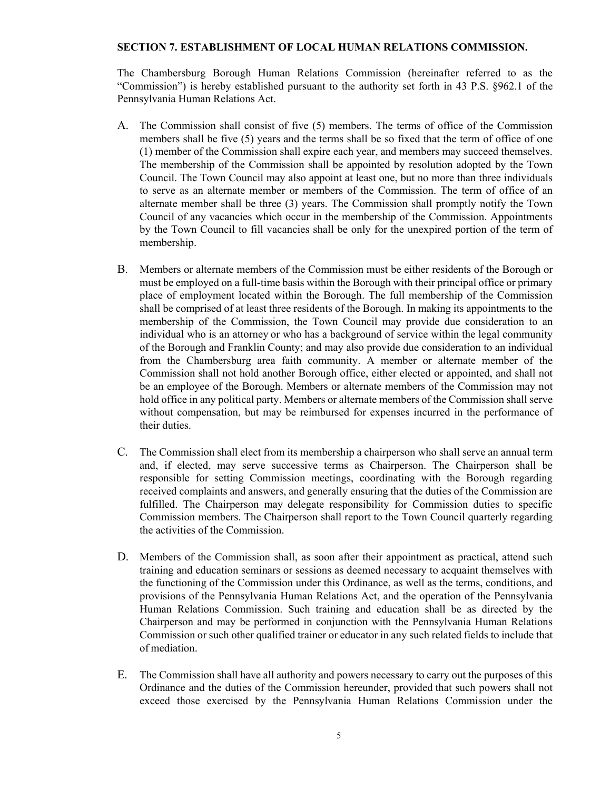#### **SECTION 7. ESTABLISHMENT OF LOCAL HUMAN RELATIONS COMMISSION.**

The Chambersburg Borough Human Relations Commission (hereinafter referred to as the "Commission") is hereby established pursuant to the authority set forth in 43 P.S. §962.1 of the Pennsylvania Human Relations Act.

- A. The Commission shall consist of five (5) members. The terms of office of the Commission members shall be five (5) years and the terms shall be so fixed that the term of office of one (1) member of the Commission shall expire each year, and members may succeed themselves. The membership of the Commission shall be appointed by resolution adopted by the Town Council. The Town Council may also appoint at least one, but no more than three individuals to serve as an alternate member or members of the Commission. The term of office of an alternate member shall be three (3) years. The Commission shall promptly notify the Town Council of any vacancies which occur in the membership of the Commission. Appointments by the Town Council to fill vacancies shall be only for the unexpired portion of the term of membership.
- B. Members or alternate members of the Commission must be either residents of the Borough or must be employed on a full-time basis within the Borough with their principal office or primary place of employment located within the Borough. The full membership of the Commission shall be comprised of at least three residents of the Borough. In making its appointments to the membership of the Commission, the Town Council may provide due consideration to an individual who is an attorney or who has a background of service within the legal community of the Borough and Franklin County; and may also provide due consideration to an individual from the Chambersburg area faith community. A member or alternate member of the Commission shall not hold another Borough office, either elected or appointed, and shall not be an employee of the Borough. Members or alternate members of the Commission may not hold office in any political party. Members or alternate members of the Commission shall serve without compensation, but may be reimbursed for expenses incurred in the performance of their duties.
- C. The Commission shall elect from its membership a chairperson who shall serve an annual term and, if elected, may serve successive terms as Chairperson. The Chairperson shall be responsible for setting Commission meetings, coordinating with the Borough regarding received complaints and answers, and generally ensuring that the duties of the Commission are fulfilled. The Chairperson may delegate responsibility for Commission duties to specific Commission members. The Chairperson shall report to the Town Council quarterly regarding the activities of the Commission.
- D. Members of the Commission shall, as soon after their appointment as practical, attend such training and education seminars or sessions as deemed necessary to acquaint themselves with the functioning of the Commission under this Ordinance, as well as the terms, conditions, and provisions of the Pennsylvania Human Relations Act, and the operation of the Pennsylvania Human Relations Commission. Such training and education shall be as directed by the Chairperson and may be performed in conjunction with the Pennsylvania Human Relations Commission or such other qualified trainer or educator in any such related fields to include that of mediation.
- E. The Commission shall have all authority and powers necessary to carry out the purposes of this Ordinance and the duties of the Commission hereunder, provided that such powers shall not exceed those exercised by the Pennsylvania Human Relations Commission under the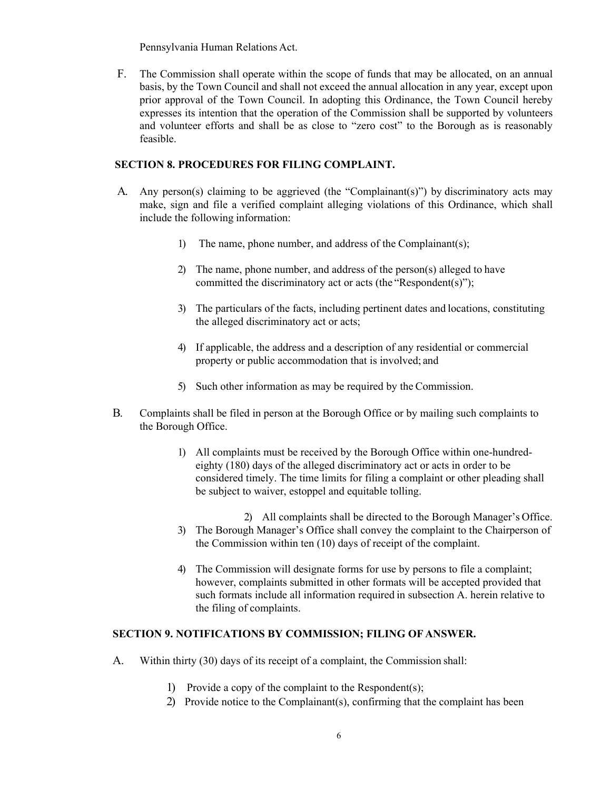Pennsylvania Human Relations Act.

F. The Commission shall operate within the scope of funds that may be allocated, on an annual basis, by the Town Council and shall not exceed the annual allocation in any year, except upon prior approval of the Town Council. In adopting this Ordinance, the Town Council hereby expresses its intention that the operation of the Commission shall be supported by volunteers and volunteer efforts and shall be as close to "zero cost" to the Borough as is reasonably feasible.

### **SECTION 8. PROCEDURES FOR FILING COMPLAINT.**

- A. Any person(s) claiming to be aggrieved (the "Complainant(s)") by discriminatory acts may make, sign and file a verified complaint alleging violations of this Ordinance, which shall include the following information:
	- 1) The name, phone number, and address of the Complainant(s);
	- 2) The name, phone number, and address of the person(s) alleged to have committed the discriminatory act or acts (the "Respondent(s)");
	- 3) The particulars of the facts, including pertinent dates and locations, constituting the alleged discriminatory act or acts;
	- 4) If applicable, the address and a description of any residential or commercial property or public accommodation that is involved; and
	- 5) Such other information as may be required by the Commission.
- B. Complaints shall be filed in person at the Borough Office or by mailing such complaints to the Borough Office.
	- 1) All complaints must be received by the Borough Office within one-hundredeighty (180) days of the alleged discriminatory act or acts in order to be considered timely. The time limits for filing a complaint or other pleading shall be subject to waiver, estoppel and equitable tolling.
		- 2) All complaints shall be directed to the Borough Manager's Office.
	- 3) The Borough Manager's Office shall convey the complaint to the Chairperson of the Commission within ten (10) days of receipt of the complaint.
	- 4) The Commission will designate forms for use by persons to file a complaint; however, complaints submitted in other formats will be accepted provided that such formats include all information required in subsection A. herein relative to the filing of complaints.

## **SECTION 9. NOTIFICATIONS BY COMMISSION; FILING OF ANSWER.**

- A. Within thirty (30) days of its receipt of a complaint, the Commission shall:
	- 1) Provide a copy of the complaint to the Respondent(s);
	- 2) Provide notice to the Complainant(s), confirming that the complaint has been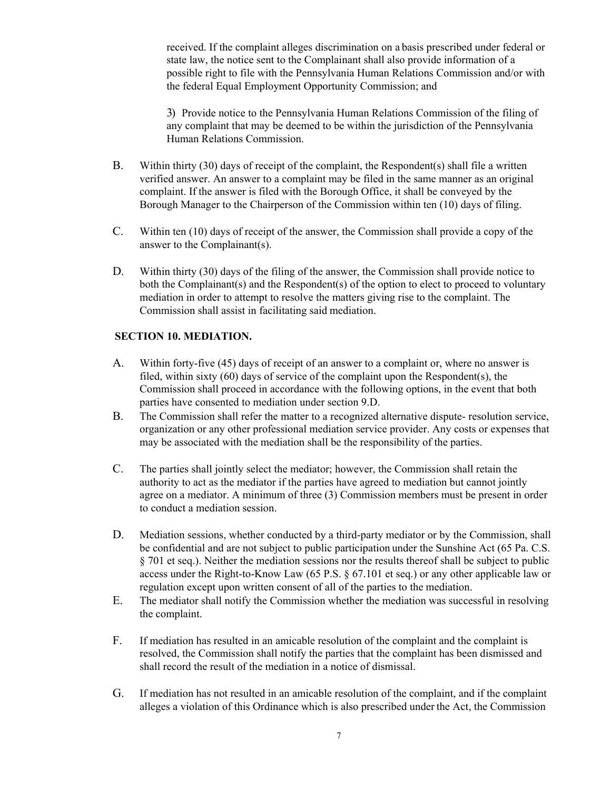received. If the complaint alleges discrimination on a basis prescribed under federal or state law, the notice sent to the Complainant shall also provide information of a possible right to file with the Pennsylvania Human Relations Commission and/or with the federal Equal Employment Opportunity Commission; and

3) Provide notice to the Pennsylvania Human Relations Commission of the filing of any complaint that may be deemed to be within the jurisdiction of the Pennsylvania Human Relations Commission.

- B. Within thirty (30) days of receipt of the complaint, the Respondent(s) shall file a written verified answer. An answer to a complaint may be filed in the same manner as an original complaint. If the answer is filed with the Borough Office, it shall be conveyed by the Borough Manager to the Chairperson of the Commission within ten (10) days of filing.
- C. Within ten (10) days of receipt of the answer, the Commission shall provide a copy of the answer to the Complainant(s).
- D. Within thirty (30) days of the filing of the answer, the Commission shall provide notice to both the Complainant(s) and the Respondent(s) of the option to elect to proceed to voluntary mediation in order to attempt to resolve the matters giving rise to the complaint. The Commission shall assist in facilitating said mediation.

#### **SECTION 10. MEDIATION.**

- A. Within forty-five (45) days of receipt of an answer to a complaint or, where no answer is filed, within sixty (60) days of service of the complaint upon the Respondent(s), the Commission shall proceed in accordance with the following options, in the event that both parties have consented to mediation under section 9.D.
- B. The Commission shall refer the matter to a recognized alternative dispute- resolution service, organization or any other professional mediation service provider. Any costs or expenses that may be associated with the mediation shall be the responsibility of the parties.
- C. The parties shall jointly select the mediator; however, the Commission shall retain the authority to act as the mediator if the parties have agreed to mediation but cannot jointly agree on a mediator. A minimum of three (3) Commission members must be present in order to conduct a mediation session.
- D. Mediation sessions, whether conducted by a third-party mediator or by the Commission, shall be confidential and are not subject to public participation under the Sunshine Act (65 Pa. C.S. § 701 et seq.). Neither the mediation sessions nor the results thereof shall be subject to public access under the Right-to-Know Law (65 P.S. § 67.101 et seq.) or any other applicable law or regulation except upon written consent of all of the parties to the mediation.
- E. The mediator shall notify the Commission whether the mediation was successful in resolving the complaint.
- F. If mediation has resulted in an amicable resolution of the complaint and the complaint is resolved, the Commission shall notify the parties that the complaint has been dismissed and shall record the result of the mediation in a notice of dismissal.
- G. If mediation has not resulted in an amicable resolution of the complaint, and if the complaint alleges a violation of this Ordinance which is also prescribed under the Act, the Commission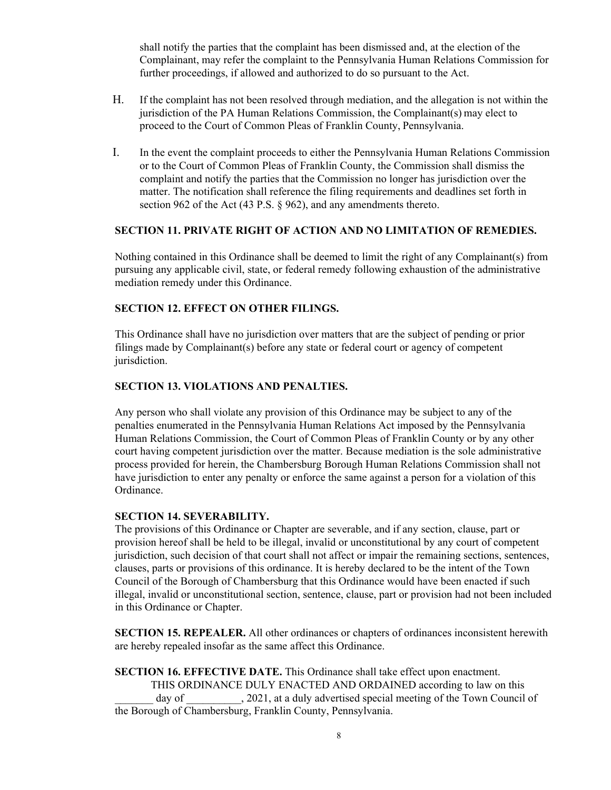shall notify the parties that the complaint has been dismissed and, at the election of the Complainant, may refer the complaint to the Pennsylvania Human Relations Commission for further proceedings, if allowed and authorized to do so pursuant to the Act.

- H. If the complaint has not been resolved through mediation, and the allegation is not within the jurisdiction of the PA Human Relations Commission, the Complainant( $s$ ) may elect to proceed to the Court of Common Pleas of Franklin County, Pennsylvania.
- I. In the event the complaint proceeds to either the Pennsylvania Human Relations Commission or to the Court of Common Pleas of Franklin County, the Commission shall dismiss the complaint and notify the parties that the Commission no longer has jurisdiction over the matter. The notification shall reference the filing requirements and deadlines set forth in section 962 of the Act (43 P.S. § 962), and any amendments thereto.

### **SECTION 11. PRIVATE RIGHT OF ACTION AND NO LIMITATION OF REMEDIES.**

Nothing contained in this Ordinance shall be deemed to limit the right of any Complainant(s) from pursuing any applicable civil, state, or federal remedy following exhaustion of the administrative mediation remedy under this Ordinance.

### **SECTION 12. EFFECT ON OTHER FILINGS.**

This Ordinance shall have no jurisdiction over matters that are the subject of pending or prior filings made by Complainant(s) before any state or federal court or agency of competent jurisdiction.

### **SECTION 13. VIOLATIONS AND PENALTIES.**

Any person who shall violate any provision of this Ordinance may be subject to any of the penalties enumerated in the Pennsylvania Human Relations Act imposed by the Pennsylvania Human Relations Commission, the Court of Common Pleas of Franklin County or by any other court having competent jurisdiction over the matter. Because mediation is the sole administrative process provided for herein, the Chambersburg Borough Human Relations Commission shall not have jurisdiction to enter any penalty or enforce the same against a person for a violation of this Ordinance.

#### **SECTION 14. SEVERABILITY.**

The provisions of this Ordinance or Chapter are severable, and if any section, clause, part or provision hereof shall be held to be illegal, invalid or unconstitutional by any court of competent jurisdiction, such decision of that court shall not affect or impair the remaining sections, sentences, clauses, parts or provisions of this ordinance. It is hereby declared to be the intent of the Town Council of the Borough of Chambersburg that this Ordinance would have been enacted if such illegal, invalid or unconstitutional section, sentence, clause, part or provision had not been included in this Ordinance or Chapter.

**SECTION 15. REPEALER.** All other ordinances or chapters of ordinances inconsistent herewith are hereby repealed insofar as the same affect this Ordinance.

**SECTION 16. EFFECTIVE DATE.** This Ordinance shall take effect upon enactment. THIS ORDINANCE DULY ENACTED AND ORDAINED according to law on this day of  $\qquad \qquad$ , 2021, at a duly advertised special meeting of the Town Council of the Borough of Chambersburg, Franklin County, Pennsylvania.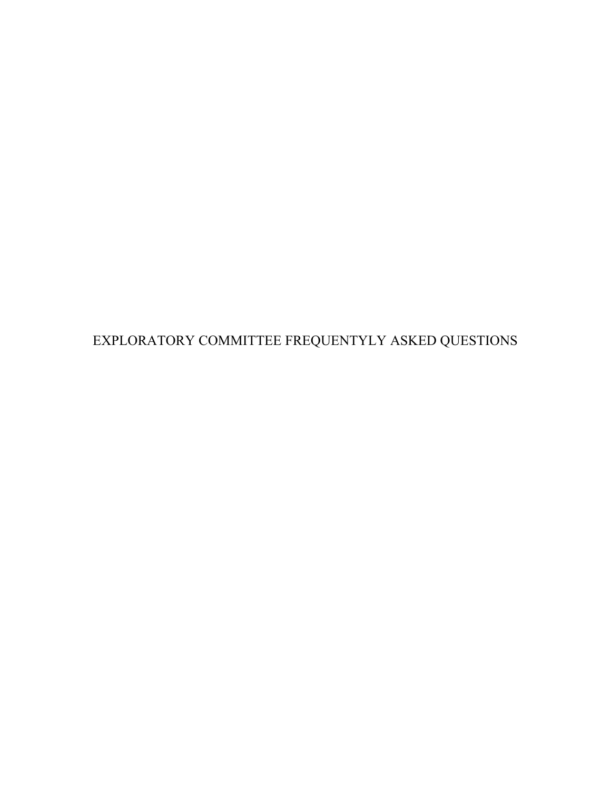EXPLORATORY COMMITTEE FREQUENTYLY ASKED QUESTIONS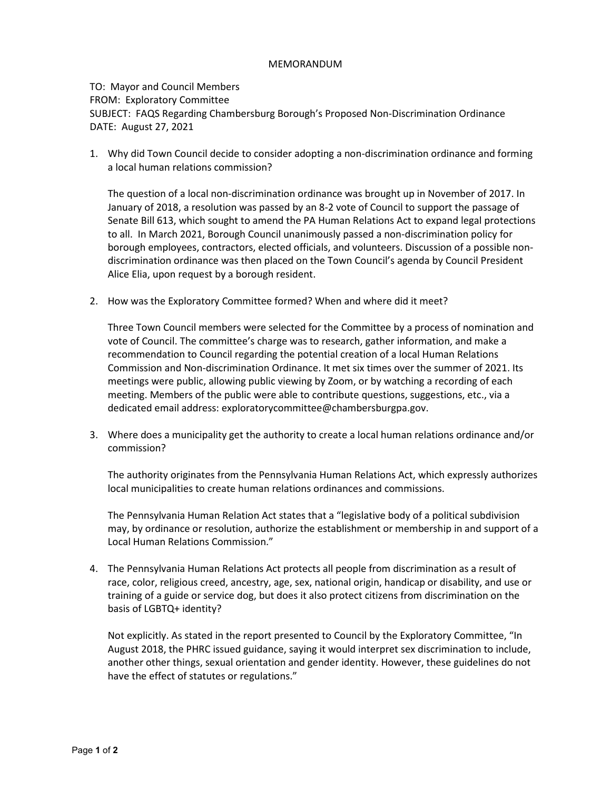#### MEMORANDUM

### TO: Mayor and Council Members FROM: Exploratory Committee SUBJECT: FAQS Regarding Chambersburg Borough's Proposed Non-Discrimination Ordinance DATE: August 27, 2021

1. Why did Town Council decide to consider adopting a non-discrimination ordinance and forming a local human relations commission?

The question of a local non-discrimination ordinance was brought up in November of 2017. In January of 2018, a resolution was passed by an 8-2 vote of Council to support the passage of Senate Bill 613, which sought to amend the PA Human Relations Act to expand legal protections to all. In March 2021, Borough Council unanimously passed a non-discrimination policy for borough employees, contractors, elected officials, and volunteers. Discussion of a possible nondiscrimination ordinance was then placed on the Town Council's agenda by Council President Alice Elia, upon request by a borough resident.

2. How was the Exploratory Committee formed? When and where did it meet?

Three Town Council members were selected for the Committee by a process of nomination and vote of Council. The committee's charge was to research, gather information, and make a recommendation to Council regarding the potential creation of a local Human Relations Commission and Non-discrimination Ordinance. It met six times over the summer of 2021. Its meetings were public, allowing public viewing by Zoom, or by watching a recording of each meeting. Members of the public were able to contribute questions, suggestions, etc., via a dedicated email address: exploratorycommittee@chambersburgpa.gov.

3. Where does a municipality get the authority to create a local human relations ordinance and/or commission?

The authority originates from the Pennsylvania Human Relations Act, which expressly authorizes local municipalities to create human relations ordinances and commissions.

The Pennsylvania Human Relation Act states that a "legislative body of a political subdivision may, by ordinance or resolution, authorize the establishment or membership in and support of a Local Human Relations Commission."

4. The Pennsylvania Human Relations Act protects all people from discrimination as a result of race, color, religious creed, ancestry, age, sex, national origin, handicap or disability, and use or training of a guide or service dog, but does it also protect citizens from discrimination on the basis of LGBTQ+ identity?

Not explicitly. As stated in the report presented to Council by the Exploratory Committee, "In August 2018, the PHRC issued guidance, saying it would interpret sex discrimination to include, another other things, sexual orientation and gender identity. However, these guidelines do not have the effect of statutes or regulations."